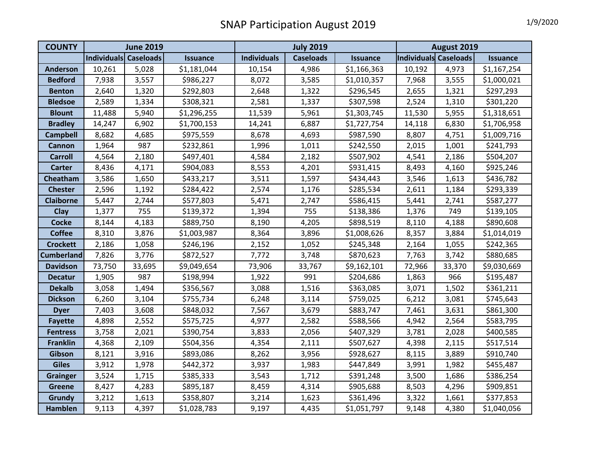## SNAP Participation August 2019 1/9/2020

| <b>COUNTY</b>    | <b>June 2019</b>      |        |                 | <b>July 2019</b>   |                  |                 | August 2019           |        |                 |
|------------------|-----------------------|--------|-----------------|--------------------|------------------|-----------------|-----------------------|--------|-----------------|
|                  | Individuals Caseloads |        | <b>Issuance</b> | <b>Individuals</b> | <b>Caseloads</b> | <b>Issuance</b> | Individuals Caseloads |        | <b>Issuance</b> |
| <b>Anderson</b>  | 10,261                | 5,028  | \$1,181,044     | 10,154             | 4,986            | \$1,166,363     | 10,192                | 4,973  | \$1,167,254     |
| <b>Bedford</b>   | 7,938                 | 3,557  | \$986,227       | 8,072              | 3,585            | \$1,010,357     | 7,968                 | 3,555  | \$1,000,021     |
| <b>Benton</b>    | 2,640                 | 1,320  | \$292,803       | 2,648              | 1,322            | \$296,545       | 2,655                 | 1,321  | \$297,293       |
| <b>Bledsoe</b>   | 2,589                 | 1,334  | \$308,321       | 2,581              | 1,337            | \$307,598       | 2,524                 | 1,310  | \$301,220       |
| <b>Blount</b>    | 11,488                | 5,940  | \$1,296,255     | 11,539             | 5,961            | \$1,303,745     | 11,530                | 5,955  | \$1,318,651     |
| <b>Bradley</b>   | 14,247                | 6,902  | \$1,700,153     | 14,241             | 6,887            | \$1,727,754     | 14,118                | 6,830  | \$1,706,958     |
| <b>Campbell</b>  | 8,682                 | 4,685  | \$975,559       | 8,678              | 4,693            | \$987,590       | 8,807                 | 4,751  | \$1,009,716     |
| <b>Cannon</b>    | 1,964                 | 987    | \$232,861       | 1,996              | 1,011            | \$242,550       | 2,015                 | 1,001  | \$241,793       |
| <b>Carroll</b>   | 4,564                 | 2,180  | \$497,401       | 4,584              | 2,182            | \$507,902       | 4,541                 | 2,186  | \$504,207       |
| <b>Carter</b>    | 8,436                 | 4,171  | \$904,083       | 8,553              | 4,201            | \$931,415       | 8,493                 | 4,160  | \$925,246       |
| Cheatham         | 3,586                 | 1,650  | \$433,217       | 3,511              | 1,597            | \$434,443       | 3,546                 | 1,613  | \$436,782       |
| <b>Chester</b>   | 2,596                 | 1,192  | \$284,422       | 2,574              | 1,176            | \$285,534       | 2,611                 | 1,184  | \$293,339       |
| <b>Claiborne</b> | 5,447                 | 2,744  | \$577,803       | 5,471              | 2,747            | \$586,415       | 5,441                 | 2,741  | \$587,277       |
| Clay             | 1,377                 | 755    | \$139,372       | 1,394              | 755              | \$138,386       | 1,376                 | 749    | \$139,105       |
| <b>Cocke</b>     | 8,144                 | 4,183  | \$889,750       | 8,190              | 4,205            | \$898,519       | 8,110                 | 4,188  | \$890,608       |
| <b>Coffee</b>    | 8,310                 | 3,876  | \$1,003,987     | 8,364              | 3,896            | \$1,008,626     | 8,357                 | 3,884  | \$1,014,019     |
| <b>Crockett</b>  | 2,186                 | 1,058  | \$246,196       | 2,152              | 1,052            | \$245,348       | 2,164                 | 1,055  | \$242,365       |
| Cumberland       | 7,826                 | 3,776  | \$872,527       | 7,772              | 3,748            | \$870,623       | 7,763                 | 3,742  | \$880,685       |
| <b>Davidson</b>  | 73,750                | 33,695 | \$9,049,654     | 73,906             | 33,767           | \$9,162,101     | 72,966                | 33,370 | \$9,030,669     |
| <b>Decatur</b>   | 1,905                 | 987    | \$198,994       | 1,922              | 991              | \$204,686       | 1,863                 | 966    | \$195,487       |
| <b>Dekalb</b>    | 3,058                 | 1,494  | \$356,567       | 3,088              | 1,516            | \$363,085       | 3,071                 | 1,502  | \$361,211       |
| <b>Dickson</b>   | 6,260                 | 3,104  | \$755,734       | 6,248              | 3,114            | \$759,025       | 6,212                 | 3,081  | \$745,643       |
| <b>Dyer</b>      | 7,403                 | 3,608  | \$848,032       | 7,567              | 3,679            | \$883,747       | 7,461                 | 3,631  | \$861,300       |
| <b>Fayette</b>   | 4,898                 | 2,552  | \$575,725       | 4,977              | 2,582            | \$588,566       | 4,942                 | 2,564  | \$583,795       |
| <b>Fentress</b>  | 3,758                 | 2,021  | \$390,754       | 3,833              | 2,056            | \$407,329       | 3,781                 | 2,028  | \$400,585       |
| <b>Franklin</b>  | 4,368                 | 2,109  | \$504,356       | 4,354              | 2,111            | \$507,627       | 4,398                 | 2,115  | \$517,514       |
| Gibson           | 8,121                 | 3,916  | \$893,086       | 8,262              | 3,956            | \$928,627       | 8,115                 | 3,889  | \$910,740       |
| <b>Giles</b>     | 3,912                 | 1,978  | \$442,372       | 3,937              | 1,983            | \$447,849       | 3,991                 | 1,982  | \$455,487       |
| <b>Grainger</b>  | 3,524                 | 1,715  | \$385,333       | 3,543              | 1,712            | \$391,248       | 3,500                 | 1,686  | \$386,254       |
| <b>Greene</b>    | 8,427                 | 4,283  | \$895,187       | 8,459              | 4,314            | \$905,688       | 8,503                 | 4,296  | \$909,851       |
| Grundy           | 3,212                 | 1,613  | \$358,807       | 3,214              | 1,623            | \$361,496       | 3,322                 | 1,661  | \$377,853       |
| <b>Hamblen</b>   | 9,113                 | 4,397  | \$1,028,783     | 9,197              | 4,435            | \$1,051,797     | 9,148                 | 4,380  | \$1,040,056     |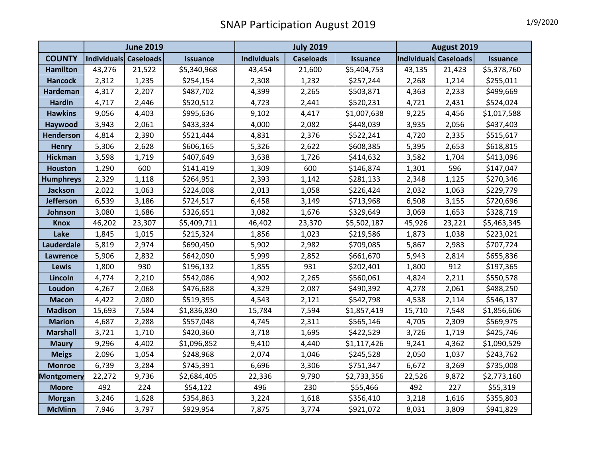## SNAP Participation August 2019

|                   | <b>June 2019</b>      |        |                 |                    |                  | August 2019     |                       |        |                 |
|-------------------|-----------------------|--------|-----------------|--------------------|------------------|-----------------|-----------------------|--------|-----------------|
| <b>COUNTY</b>     | Individuals Caseloads |        | <b>Issuance</b> | <b>Individuals</b> | <b>Caseloads</b> | <b>Issuance</b> | Individuals Caseloads |        | <b>Issuance</b> |
| <b>Hamilton</b>   | 43,276                | 21,522 | \$5,340,968     | 43,454             | 21,600           | \$5,404,753     | 43,135                | 21,423 | \$5,378,760     |
| <b>Hancock</b>    | 2,312                 | 1,235  | \$254,154       | 2,308              | 1,232            | \$257,244       | 2,268                 | 1,214  | \$255,011       |
| Hardeman          | 4,317                 | 2,207  | \$487,702       | 4,399              | 2,265            | \$503,871       | 4,363                 | 2,233  | \$499,669       |
| <b>Hardin</b>     | 4,717                 | 2,446  | \$520,512       | 4,723              | 2,441            | \$520,231       | 4,721                 | 2,431  | \$524,024       |
| <b>Hawkins</b>    | 9,056                 | 4,403  | \$995,636       | 9,102              | 4,417            | \$1,007,638     | 9,225                 | 4,456  | \$1,017,588     |
| Haywood           | 3,943                 | 2,061  | \$433,334       | 4,000              | 2,082            | \$448,039       | 3,935                 | 2,056  | \$437,403       |
| Henderson         | 4,814                 | 2,390  | \$521,444       | 4,831              | 2,376            | \$522,241       | 4,720                 | 2,335  | \$515,617       |
| <b>Henry</b>      | 5,306                 | 2,628  | \$606,165       | 5,326              | 2,622            | \$608,385       | 5,395                 | 2,653  | \$618,815       |
| <b>Hickman</b>    | 3,598                 | 1,719  | \$407,649       | 3,638              | 1,726            | \$414,632       | 3,582                 | 1,704  | \$413,096       |
| <b>Houston</b>    | 1,290                 | 600    | \$141,419       | 1,309              | 600              | \$146,874       | 1,301                 | 596    | \$147,047       |
| <b>Humphreys</b>  | 2,329                 | 1,118  | \$264,951       | 2,393              | 1,142            | \$281,133       | 2,348                 | 1,125  | \$270,346       |
| <b>Jackson</b>    | 2,022                 | 1,063  | \$224,008       | 2,013              | 1,058            | \$226,424       | 2,032                 | 1,063  | \$229,779       |
| <b>Jefferson</b>  | 6,539                 | 3,186  | \$724,517       | 6,458              | 3,149            | \$713,968       | 6,508                 | 3,155  | \$720,696       |
| Johnson           | 3,080                 | 1,686  | \$326,651       | 3,082              | 1,676            | \$329,649       | 3,069                 | 1,653  | \$328,719       |
| <b>Knox</b>       | 46,202                | 23,307 | \$5,409,711     | 46,402             | 23,370           | \$5,502,187     | 45,926                | 23,221 | \$5,463,345     |
| Lake              | 1,845                 | 1,015  | \$215,324       | 1,856              | 1,023            | \$219,586       | 1,873                 | 1,038  | \$223,021       |
| Lauderdale        | 5,819                 | 2,974  | \$690,450       | 5,902              | 2,982            | \$709,085       | 5,867                 | 2,983  | \$707,724       |
| <b>Lawrence</b>   | 5,906                 | 2,832  | \$642,090       | 5,999              | 2,852            | \$661,670       | 5,943                 | 2,814  | \$655,836       |
| <b>Lewis</b>      | 1,800                 | 930    | \$196,132       | 1,855              | 931              | \$202,401       | 1,800                 | 912    | \$197,365       |
| Lincoln           | 4,774                 | 2,210  | \$542,086       | 4,902              | 2,265            | \$560,061       | 4,824                 | 2,211  | \$550,578       |
| Loudon            | 4,267                 | 2,068  | \$476,688       | 4,329              | 2,087            | \$490,392       | 4,278                 | 2,061  | \$488,250       |
| <b>Macon</b>      | 4,422                 | 2,080  | \$519,395       | 4,543              | 2,121            | \$542,798       | 4,538                 | 2,114  | \$546,137       |
| <b>Madison</b>    | 15,693                | 7,584  | \$1,836,830     | 15,784             | 7,594            | \$1,857,419     | 15,710                | 7,548  | \$1,856,606     |
| <b>Marion</b>     | 4,687                 | 2,288  | \$557,048       | 4,745              | 2,311            | \$565,146       | 4,705                 | 2,309  | \$569,975       |
| <b>Marshall</b>   | 3,721                 | 1,710  | \$420,360       | 3,718              | 1,695            | \$422,529       | 3,726                 | 1,719  | \$425,746       |
| <b>Maury</b>      | 9,296                 | 4,402  | \$1,096,852     | 9,410              | 4,440            | \$1,117,426     | 9,241                 | 4,362  | \$1,090,529     |
| <b>Meigs</b>      | 2,096                 | 1,054  | \$248,968       | 2,074              | 1,046            | \$245,528       | 2,050                 | 1,037  | \$243,762       |
| <b>Monroe</b>     | 6,739                 | 3,284  | \$745,391       | 6,696              | 3,306            | \$751,347       | 6,672                 | 3,269  | \$735,008       |
| <b>Montgomery</b> | 22,272                | 9,736  | \$2,684,405     | 22,336             | 9,790            | \$2,733,356     | 22,526                | 9,872  | \$2,773,160     |
| <b>Moore</b>      | 492                   | 224    | \$54,122        | 496                | 230              | \$55,466        | 492                   | 227    | \$55,319        |
| <b>Morgan</b>     | 3,246                 | 1,628  | \$354,863       | 3,224              | 1,618            | \$356,410       | 3,218                 | 1,616  | \$355,803       |
| <b>McMinn</b>     | 7,946                 | 3,797  | \$929,954       | 7,875              | 3,774            | \$921,072       | 8,031                 | 3,809  | \$941,829       |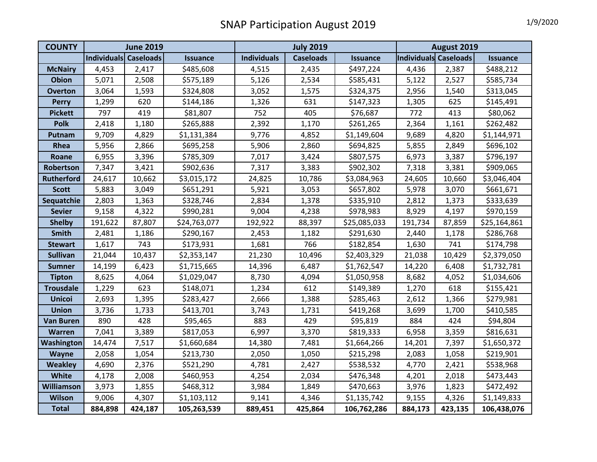## SNAP Participation August 2019 1/9/2020

| <b>COUNTY</b>     | <b>June 2019</b>      |         |                 | <b>July 2019</b>   |                  |                 | August 2019           |         |                 |
|-------------------|-----------------------|---------|-----------------|--------------------|------------------|-----------------|-----------------------|---------|-----------------|
|                   | Individuals Caseloads |         | <b>Issuance</b> | <b>Individuals</b> | <b>Caseloads</b> | <b>Issuance</b> | Individuals Caseloads |         | <b>Issuance</b> |
| <b>McNairy</b>    | 4,453                 | 2,417   | \$485,608       | 4,515              | 2,435            | \$497,224       | 4,436                 | 2,387   | \$488,212       |
| <b>Obion</b>      | 5,071                 | 2,508   | \$575,189       | 5,126              | 2,534            | \$585,431       | 5,122                 | 2,527   | \$585,734       |
| <b>Overton</b>    | 3,064                 | 1,593   | \$324,808       | 3,052              | 1,575            | \$324,375       | 2,956                 | 1,540   | \$313,045       |
| <b>Perry</b>      | 1,299                 | 620     | \$144,186       | 1,326              | 631              | \$147,323       | 1,305                 | 625     | \$145,491       |
| <b>Pickett</b>    | 797                   | 419     | \$81,807        | 752                | 405              | \$76,687        | 772                   | 413     | \$80,062        |
| <b>Polk</b>       | 2,418                 | 1,180   | \$265,888       | 2,392              | 1,170            | \$261,265       | 2,364                 | 1,161   | \$262,482       |
| Putnam            | 9,709                 | 4,829   | \$1,131,384     | 9,776              | 4,852            | \$1,149,604     | 9,689                 | 4,820   | \$1,144,971     |
| Rhea              | 5,956                 | 2,866   | \$695,258       | 5,906              | 2,860            | \$694,825       | 5,855                 | 2,849   | \$696,102       |
| Roane             | 6,955                 | 3,396   | \$785,309       | 7,017              | 3,424            | \$807,575       | 6,973                 | 3,387   | \$796,197       |
| Robertson         | 7,347                 | 3,421   | \$902,636       | 7,317              | 3,383            | \$902,302       | 7,318                 | 3,381   | \$909,065       |
| <b>Rutherford</b> | 24,617                | 10,662  | \$3,015,172     | 24,825             | 10,786           | \$3,084,963     | 24,605                | 10,660  | \$3,046,404     |
| <b>Scott</b>      | 5,883                 | 3,049   | \$651,291       | 5,921              | 3,053            | \$657,802       | 5,978                 | 3,070   | \$661,671       |
| Sequatchie        | 2,803                 | 1,363   | \$328,746       | 2,834              | 1,378            | \$335,910       | 2,812                 | 1,373   | \$333,639       |
| <b>Sevier</b>     | 9,158                 | 4,322   | \$990,281       | 9,004              | 4,238            | \$978,983       | 8,929                 | 4,197   | \$970,159       |
| <b>Shelby</b>     | 191,622               | 87,807  | \$24,763,077    | 192,922            | 88,397           | \$25,085,033    | 191,734               | 87,859  | \$25,164,861    |
| Smith             | 2,481                 | 1,186   | \$290,167       | 2,453              | 1,182            | \$291,630       | 2,440                 | 1,178   | \$286,768       |
| <b>Stewart</b>    | 1,617                 | 743     | \$173,931       | 1,681              | 766              | \$182,854       | 1,630                 | 741     | \$174,798       |
| <b>Sullivan</b>   | 21,044                | 10,437  | \$2,353,147     | 21,230             | 10,496           | \$2,403,329     | 21,038                | 10,429  | \$2,379,050     |
| <b>Sumner</b>     | 14,199                | 6,423   | \$1,715,665     | 14,396             | 6,487            | \$1,762,547     | 14,220                | 6,408   | \$1,732,781     |
| <b>Tipton</b>     | 8,625                 | 4,064   | \$1,029,047     | 8,730              | 4,094            | \$1,050,958     | 8,682                 | 4,052   | \$1,034,606     |
| <b>Trousdale</b>  | 1,229                 | 623     | \$148,071       | 1,234              | 612              | \$149,389       | 1,270                 | 618     | \$155,421       |
| <b>Unicoi</b>     | 2,693                 | 1,395   | \$283,427       | 2,666              | 1,388            | \$285,463       | 2,612                 | 1,366   | \$279,981       |
| <b>Union</b>      | 3,736                 | 1,733   | \$413,701       | 3,743              | 1,731            | \$419,268       | 3,699                 | 1,700   | \$410,585       |
| <b>Van Buren</b>  | 890                   | 428     | \$95,465        | 883                | 429              | \$95,819        | 884                   | 424     | \$94,804        |
| <b>Warren</b>     | 7,041                 | 3,389   | \$817,053       | 6,997              | 3,370            | \$819,333       | 6,958                 | 3,359   | \$816,631       |
| Washington        | 14,474                | 7,517   | \$1,660,684     | 14,380             | 7,481            | \$1,664,266     | 14,201                | 7,397   | \$1,650,372     |
| <b>Wayne</b>      | 2,058                 | 1,054   | \$213,730       | 2,050              | 1,050            | \$215,298       | 2,083                 | 1,058   | \$219,901       |
| <b>Weakley</b>    | 4,690                 | 2,376   | \$521,290       | 4,781              | 2,427            | \$538,532       | 4,770                 | 2,421   | \$538,968       |
| White             | 4,178                 | 2,008   | \$460,953       | 4,254              | 2,034            | \$476,348       | 4,201                 | 2,018   | \$473,443       |
| Williamson        | 3,973                 | 1,855   | \$468,312       | 3,984              | 1,849            | \$470,663       | 3,976                 | 1,823   | \$472,492       |
| <b>Wilson</b>     | 9,006                 | 4,307   | \$1,103,112     | 9,141              | 4,346            | \$1,135,742     | 9,155                 | 4,326   | \$1,149,833     |
| <b>Total</b>      | 884,898               | 424,187 | 105,263,539     | 889,451            | 425,864          | 106,762,286     | 884,173               | 423,135 | 106,438,076     |